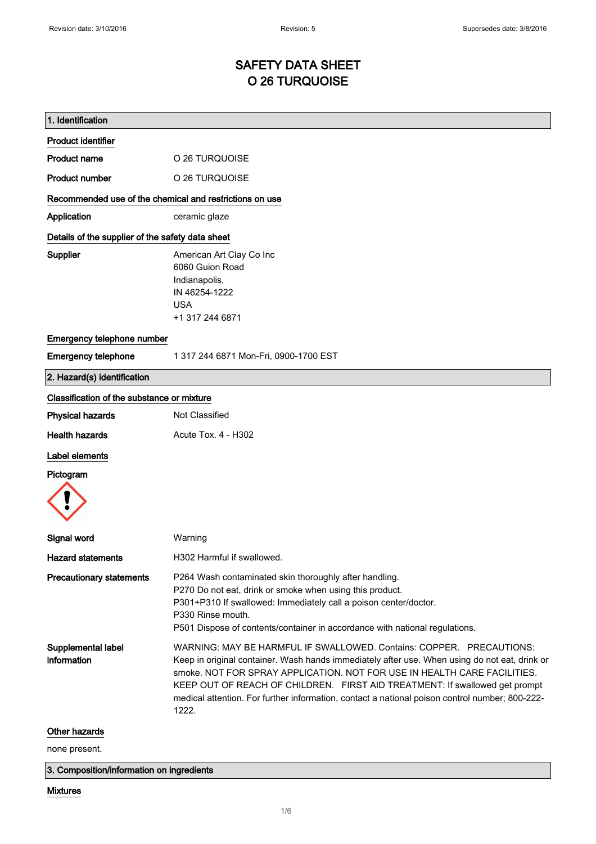## SAFETY DATA SHEET O 26 TURQUOISE

| 1. Identification                                       |                                                                                                                                                                                                                                                                                                                                                                                                                                             |
|---------------------------------------------------------|---------------------------------------------------------------------------------------------------------------------------------------------------------------------------------------------------------------------------------------------------------------------------------------------------------------------------------------------------------------------------------------------------------------------------------------------|
| <b>Product identifier</b>                               |                                                                                                                                                                                                                                                                                                                                                                                                                                             |
| <b>Product name</b>                                     | O 26 TURQUOISE                                                                                                                                                                                                                                                                                                                                                                                                                              |
| <b>Product number</b>                                   | O 26 TURQUOISE                                                                                                                                                                                                                                                                                                                                                                                                                              |
| Recommended use of the chemical and restrictions on use |                                                                                                                                                                                                                                                                                                                                                                                                                                             |
| Application                                             | ceramic glaze                                                                                                                                                                                                                                                                                                                                                                                                                               |
| Details of the supplier of the safety data sheet        |                                                                                                                                                                                                                                                                                                                                                                                                                                             |
| <b>Supplier</b>                                         | American Art Clay Co Inc<br>6060 Guion Road<br>Indianapolis,<br>IN 46254-1222<br><b>USA</b><br>+1 317 244 6871                                                                                                                                                                                                                                                                                                                              |
| Emergency telephone number                              |                                                                                                                                                                                                                                                                                                                                                                                                                                             |
| <b>Emergency telephone</b>                              | 1 317 244 6871 Mon-Fri, 0900-1700 EST                                                                                                                                                                                                                                                                                                                                                                                                       |
| 2. Hazard(s) identification                             |                                                                                                                                                                                                                                                                                                                                                                                                                                             |
| Classification of the substance or mixture              |                                                                                                                                                                                                                                                                                                                                                                                                                                             |
| <b>Physical hazards</b>                                 | Not Classified                                                                                                                                                                                                                                                                                                                                                                                                                              |
| <b>Health hazards</b>                                   | Acute Tox. 4 - H302                                                                                                                                                                                                                                                                                                                                                                                                                         |
| <b>Label elements</b>                                   |                                                                                                                                                                                                                                                                                                                                                                                                                                             |
| Pictogram                                               |                                                                                                                                                                                                                                                                                                                                                                                                                                             |
|                                                         |                                                                                                                                                                                                                                                                                                                                                                                                                                             |
| Signal word                                             | Warning                                                                                                                                                                                                                                                                                                                                                                                                                                     |
| <b>Hazard statements</b>                                | H302 Harmful if swallowed.                                                                                                                                                                                                                                                                                                                                                                                                                  |
| <b>Precautionary statements</b>                         | P264 Wash contaminated skin thoroughly after handling.<br>P270 Do not eat, drink or smoke when using this product.<br>P301+P310 If swallowed: Immediately call a poison center/doctor.<br>P330 Rinse mouth.<br>P501 Dispose of contents/container in accordance with national regulations.                                                                                                                                                  |
| Supplemental label<br>information                       | WARNING: MAY BE HARMFUL IF SWALLOWED. Contains: COPPER. PRECAUTIONS:<br>Keep in original container. Wash hands immediately after use. When using do not eat, drink or<br>smoke. NOT FOR SPRAY APPLICATION. NOT FOR USE IN HEALTH CARE FACILITIES.<br>KEEP OUT OF REACH OF CHILDREN. FIRST AID TREATMENT: If swallowed get prompt<br>medical attention. For further information, contact a national poison control number; 800-222-<br>1222. |
| Other hazards<br>none present.                          |                                                                                                                                                                                                                                                                                                                                                                                                                                             |

3. Composition/information on ingredients

## Mixtures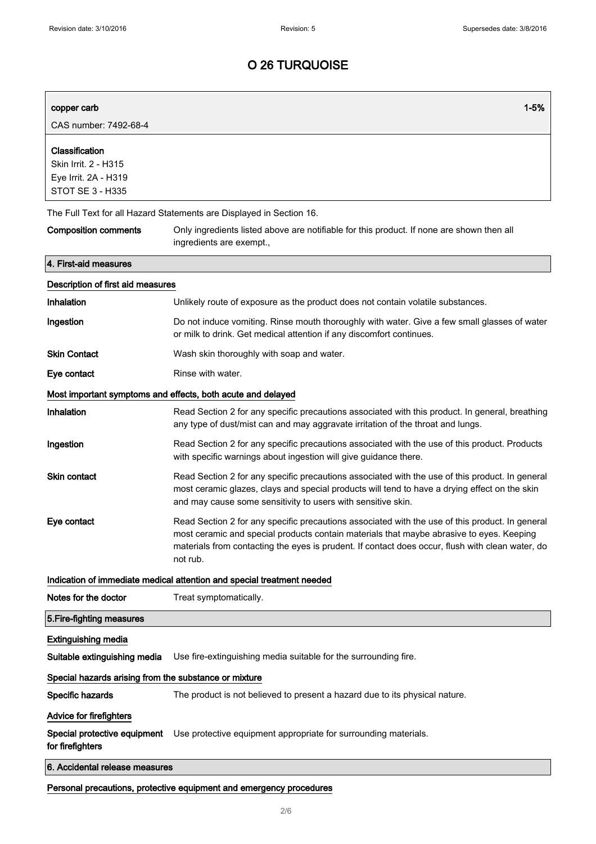| copper carb                                                                        | $1 - 5%$                                                                                                                                                                                                                                                                                                    |
|------------------------------------------------------------------------------------|-------------------------------------------------------------------------------------------------------------------------------------------------------------------------------------------------------------------------------------------------------------------------------------------------------------|
| CAS number: 7492-68-4                                                              |                                                                                                                                                                                                                                                                                                             |
| Classification<br>Skin Irrit. 2 - H315<br>Eye Irrit. 2A - H319<br>STOT SE 3 - H335 |                                                                                                                                                                                                                                                                                                             |
|                                                                                    | The Full Text for all Hazard Statements are Displayed in Section 16.                                                                                                                                                                                                                                        |
| <b>Composition comments</b>                                                        | Only ingredients listed above are notifiable for this product. If none are shown then all<br>ingredients are exempt.,                                                                                                                                                                                       |
| 4. First-aid measures                                                              |                                                                                                                                                                                                                                                                                                             |
| Description of first aid measures                                                  |                                                                                                                                                                                                                                                                                                             |
| Inhalation                                                                         | Unlikely route of exposure as the product does not contain volatile substances.                                                                                                                                                                                                                             |
| Ingestion                                                                          | Do not induce vomiting. Rinse mouth thoroughly with water. Give a few small glasses of water<br>or milk to drink. Get medical attention if any discomfort continues.                                                                                                                                        |
| <b>Skin Contact</b>                                                                | Wash skin thoroughly with soap and water.                                                                                                                                                                                                                                                                   |
| Eye contact                                                                        | Rinse with water.                                                                                                                                                                                                                                                                                           |
|                                                                                    | Most important symptoms and effects, both acute and delayed                                                                                                                                                                                                                                                 |
| Inhalation                                                                         | Read Section 2 for any specific precautions associated with this product. In general, breathing<br>any type of dust/mist can and may aggravate irritation of the throat and lungs.                                                                                                                          |
| Ingestion                                                                          | Read Section 2 for any specific precautions associated with the use of this product. Products<br>with specific warnings about ingestion will give guidance there.                                                                                                                                           |
| <b>Skin contact</b>                                                                | Read Section 2 for any specific precautions associated with the use of this product. In general<br>most ceramic glazes, clays and special products will tend to have a drying effect on the skin<br>and may cause some sensitivity to users with sensitive skin.                                            |
| Eye contact                                                                        | Read Section 2 for any specific precautions associated with the use of this product. In general<br>most ceramic and special products contain materials that maybe abrasive to eyes. Keeping<br>materials from contacting the eyes is prudent. If contact does occur, flush with clean water, do<br>not rub. |
|                                                                                    | Indication of immediate medical attention and special treatment needed                                                                                                                                                                                                                                      |
| Notes for the doctor                                                               | Treat symptomatically.                                                                                                                                                                                                                                                                                      |
| 5. Fire-fighting measures                                                          |                                                                                                                                                                                                                                                                                                             |
| <b>Extinguishing media</b>                                                         |                                                                                                                                                                                                                                                                                                             |
| Suitable extinguishing media                                                       | Use fire-extinguishing media suitable for the surrounding fire.                                                                                                                                                                                                                                             |
| Special hazards arising from the substance or mixture                              |                                                                                                                                                                                                                                                                                                             |
| Specific hazards                                                                   | The product is not believed to present a hazard due to its physical nature.                                                                                                                                                                                                                                 |
| Advice for firefighters                                                            |                                                                                                                                                                                                                                                                                                             |
| Special protective equipment<br>for firefighters                                   | Use protective equipment appropriate for surrounding materials.                                                                                                                                                                                                                                             |
| 6. Accidental release measures                                                     |                                                                                                                                                                                                                                                                                                             |
| Personal precautions, protective equipment and emergency procedures                |                                                                                                                                                                                                                                                                                                             |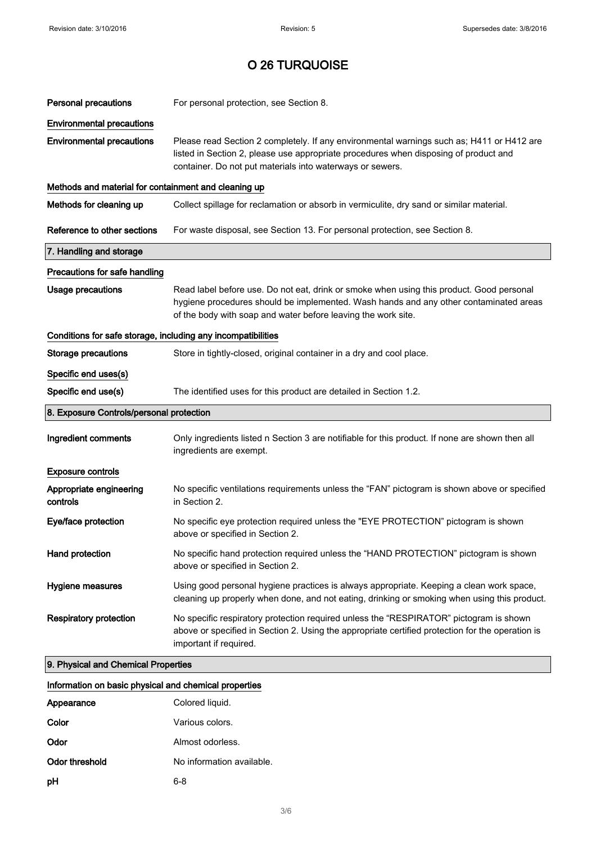| <b>Personal precautions</b>                                  | For personal protection, see Section 8.                                                                                                                                                                                                            |  |
|--------------------------------------------------------------|----------------------------------------------------------------------------------------------------------------------------------------------------------------------------------------------------------------------------------------------------|--|
| <b>Environmental precautions</b>                             |                                                                                                                                                                                                                                                    |  |
| <b>Environmental precautions</b>                             | Please read Section 2 completely. If any environmental warnings such as; H411 or H412 are<br>listed in Section 2, please use appropriate procedures when disposing of product and<br>container. Do not put materials into waterways or sewers.     |  |
| Methods and material for containment and cleaning up         |                                                                                                                                                                                                                                                    |  |
| Methods for cleaning up                                      | Collect spillage for reclamation or absorb in vermiculite, dry sand or similar material.                                                                                                                                                           |  |
| Reference to other sections                                  | For waste disposal, see Section 13. For personal protection, see Section 8.                                                                                                                                                                        |  |
| 7. Handling and storage                                      |                                                                                                                                                                                                                                                    |  |
| Precautions for safe handling                                |                                                                                                                                                                                                                                                    |  |
| <b>Usage precautions</b>                                     | Read label before use. Do not eat, drink or smoke when using this product. Good personal<br>hygiene procedures should be implemented. Wash hands and any other contaminated areas<br>of the body with soap and water before leaving the work site. |  |
| Conditions for safe storage, including any incompatibilities |                                                                                                                                                                                                                                                    |  |
| <b>Storage precautions</b>                                   | Store in tightly-closed, original container in a dry and cool place.                                                                                                                                                                               |  |
| Specific end uses(s)                                         |                                                                                                                                                                                                                                                    |  |
| Specific end use(s)                                          | The identified uses for this product are detailed in Section 1.2.                                                                                                                                                                                  |  |
| 8. Exposure Controls/personal protection                     |                                                                                                                                                                                                                                                    |  |
| Ingredient comments                                          | Only ingredients listed n Section 3 are notifiable for this product. If none are shown then all<br>ingredients are exempt.                                                                                                                         |  |
| <b>Exposure controls</b>                                     |                                                                                                                                                                                                                                                    |  |
| Appropriate engineering<br>controls                          | No specific ventilations requirements unless the "FAN" pictogram is shown above or specified<br>in Section 2.                                                                                                                                      |  |
| Eye/face protection                                          | No specific eye protection required unless the "EYE PROTECTION" pictogram is shown<br>above or specified in Section 2.                                                                                                                             |  |
| Hand protection                                              | No specific hand protection required unless the "HAND PROTECTION" pictogram is shown<br>above or specified in Section 2.                                                                                                                           |  |
| Hygiene measures                                             | Using good personal hygiene practices is always appropriate. Keeping a clean work space,<br>cleaning up properly when done, and not eating, drinking or smoking when using this product.                                                           |  |
| <b>Respiratory protection</b>                                | No specific respiratory protection required unless the "RESPIRATOR" pictogram is shown<br>above or specified in Section 2. Using the appropriate certified protection for the operation is<br>important if required.                               |  |
| 9. Physical and Chemical Properties                          |                                                                                                                                                                                                                                                    |  |

| Information on basic physical and chemical properties |
|-------------------------------------------------------|
|                                                       |

| Appearance     | Colored liquid.           |
|----------------|---------------------------|
| Color          | Various colors.           |
| Odor           | Almost odorless.          |
| Odor threshold | No information available. |
| рH             | 6-8                       |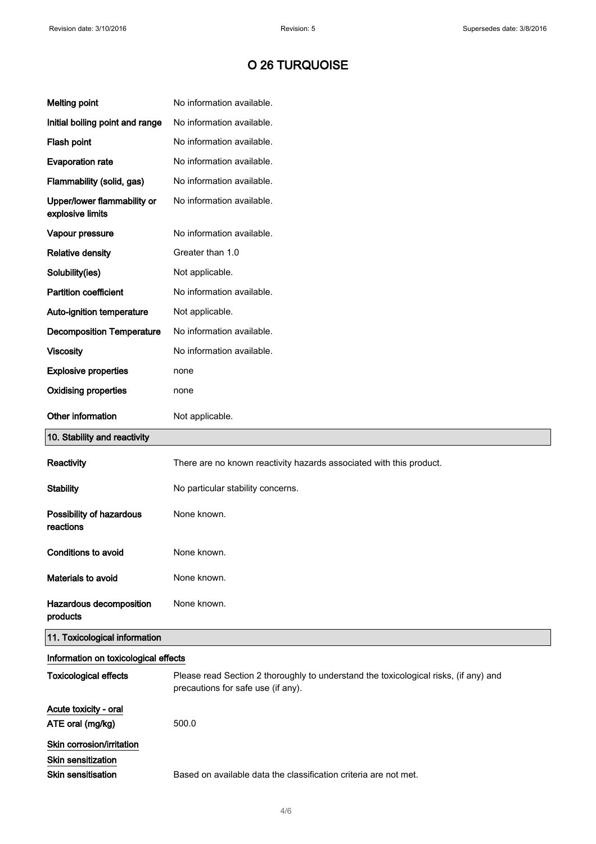| <b>Melting point</b>                            | No information available.                                                                                                  |
|-------------------------------------------------|----------------------------------------------------------------------------------------------------------------------------|
| Initial boiling point and range                 | No information available.                                                                                                  |
| Flash point                                     | No information available.                                                                                                  |
| <b>Evaporation rate</b>                         | No information available.                                                                                                  |
| Flammability (solid, gas)                       | No information available.                                                                                                  |
| Upper/lower flammability or<br>explosive limits | No information available.                                                                                                  |
| Vapour pressure                                 | No information available.                                                                                                  |
| <b>Relative density</b>                         | Greater than 1.0                                                                                                           |
| Solubility(ies)                                 | Not applicable.                                                                                                            |
| <b>Partition coefficient</b>                    | No information available.                                                                                                  |
| Auto-ignition temperature                       | Not applicable.                                                                                                            |
| <b>Decomposition Temperature</b>                | No information available.                                                                                                  |
| <b>Viscosity</b>                                | No information available.                                                                                                  |
| <b>Explosive properties</b>                     | none                                                                                                                       |
| <b>Oxidising properties</b>                     | none                                                                                                                       |
| Other information                               | Not applicable.                                                                                                            |
| 10. Stability and reactivity                    |                                                                                                                            |
| Reactivity                                      | There are no known reactivity hazards associated with this product.                                                        |
| <b>Stability</b>                                | No particular stability concerns.                                                                                          |
| Possibility of hazardous<br>reactions           | None known.                                                                                                                |
| <b>Conditions to avoid</b>                      | None known.                                                                                                                |
| Materials to avoid                              | None known.                                                                                                                |
| Hazardous decomposition<br>products             | None known.                                                                                                                |
| 11. Toxicological information                   |                                                                                                                            |
| Information on toxicological effects            |                                                                                                                            |
| <b>Toxicological effects</b>                    | Please read Section 2 thoroughly to understand the toxicological risks, (if any) and<br>precautions for safe use (if any). |
| Acute toxicity - oral<br>ATE oral (mg/kg)       | 500.0                                                                                                                      |
| Skin corrosion/irritation<br>Skin sensitization |                                                                                                                            |
| <b>Skin sensitisation</b>                       | Based on available data the classification criteria are not met.                                                           |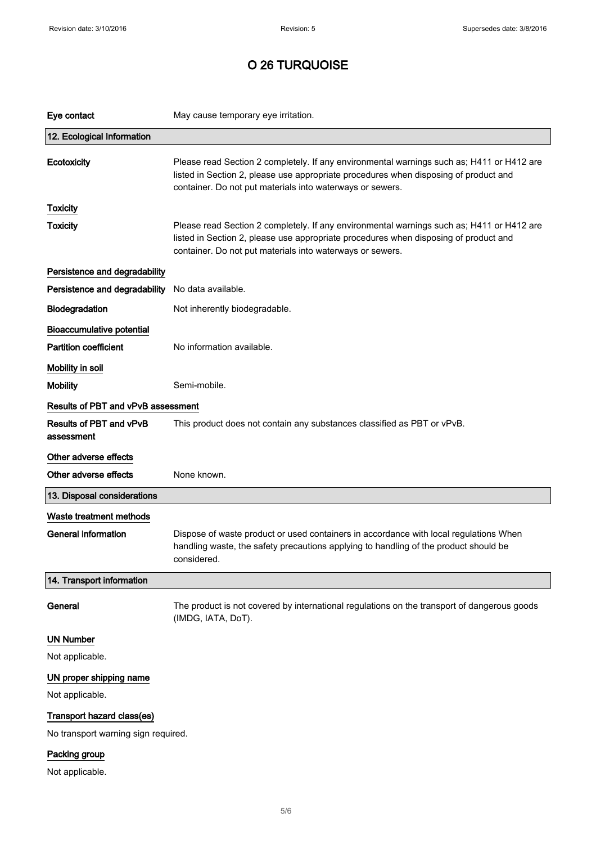| Eye contact                           | May cause temporary eye irritation.                                                                                                                                                                                                            |
|---------------------------------------|------------------------------------------------------------------------------------------------------------------------------------------------------------------------------------------------------------------------------------------------|
| 12. Ecological Information            |                                                                                                                                                                                                                                                |
| Ecotoxicity                           | Please read Section 2 completely. If any environmental warnings such as; H411 or H412 are<br>listed in Section 2, please use appropriate procedures when disposing of product and<br>container. Do not put materials into waterways or sewers. |
| <b>Toxicity</b>                       |                                                                                                                                                                                                                                                |
| <b>Toxicity</b>                       | Please read Section 2 completely. If any environmental warnings such as; H411 or H412 are<br>listed in Section 2, please use appropriate procedures when disposing of product and<br>container. Do not put materials into waterways or sewers. |
| Persistence and degradability         |                                                                                                                                                                                                                                                |
| Persistence and degradability         | No data available.                                                                                                                                                                                                                             |
| Biodegradation                        | Not inherently biodegradable.                                                                                                                                                                                                                  |
| <b>Bioaccumulative potential</b>      |                                                                                                                                                                                                                                                |
| <b>Partition coefficient</b>          | No information available.                                                                                                                                                                                                                      |
| Mobility in soil                      |                                                                                                                                                                                                                                                |
| <b>Mobility</b>                       | Semi-mobile.                                                                                                                                                                                                                                   |
| Results of PBT and vPvB assessment    |                                                                                                                                                                                                                                                |
| Results of PBT and vPvB<br>assessment | This product does not contain any substances classified as PBT or vPvB.                                                                                                                                                                        |
| Other adverse effects                 |                                                                                                                                                                                                                                                |
| Other adverse effects                 | None known.                                                                                                                                                                                                                                    |
| 13. Disposal considerations           |                                                                                                                                                                                                                                                |
| Waste treatment methods               |                                                                                                                                                                                                                                                |
| <b>General information</b>            | Dispose of waste product or used containers in accordance with local regulations When<br>handling waste, the safety precautions applying to handling of the product should be<br>considered.                                                   |
| 14. Transport information             |                                                                                                                                                                                                                                                |
| General                               | The product is not covered by international regulations on the transport of dangerous goods<br>(IMDG, IATA, DoT).                                                                                                                              |
| <b>UN Number</b>                      |                                                                                                                                                                                                                                                |
| Not applicable.                       |                                                                                                                                                                                                                                                |
| UN proper shipping name               |                                                                                                                                                                                                                                                |
| Not applicable.                       |                                                                                                                                                                                                                                                |
| Transport hazard class(es)            |                                                                                                                                                                                                                                                |
| No transport warning sign required.   |                                                                                                                                                                                                                                                |
| Packing group                         |                                                                                                                                                                                                                                                |

Not applicable.